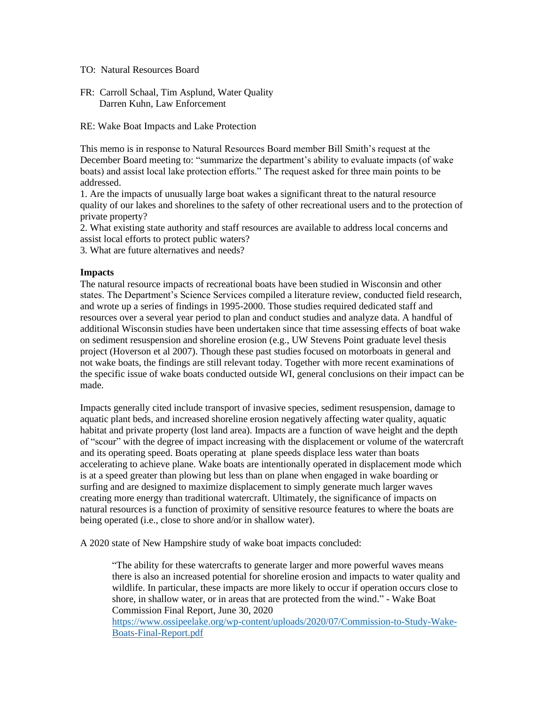- TO: Natural Resources Board
- FR: Carroll Schaal, Tim Asplund, Water Quality Darren Kuhn, Law Enforcement

RE: Wake Boat Impacts and Lake Protection

This memo is in response to Natural Resources Board member Bill Smith's request at the December Board meeting to: "summarize the department's ability to evaluate impacts (of wake boats) and assist local lake protection efforts." The request asked for three main points to be addressed.

1. Are the impacts of unusually large boat wakes a significant threat to the natural resource quality of our lakes and shorelines to the safety of other recreational users and to the protection of private property?

2. What existing state authority and staff resources are available to address local concerns and assist local efforts to protect public waters?

3. What are future alternatives and needs?

### **Impacts**

The natural resource impacts of recreational boats have been studied in Wisconsin and other states. The Department's Science Services compiled a literature review, conducted field research, and wrote up a series of findings in 1995-2000. Those studies required dedicated staff and resources over a several year period to plan and conduct studies and analyze data. A handful of additional Wisconsin studies have been undertaken since that time assessing effects of boat wake on sediment resuspension and shoreline erosion (e.g., UW Stevens Point graduate level thesis project (Hoverson et al 2007). Though these past studies focused on motorboats in general and not wake boats, the findings are still relevant today. Together with more recent examinations of the specific issue of wake boats conducted outside WI, general conclusions on their impact can be made.

Impacts generally cited include transport of invasive species, sediment resuspension, damage to aquatic plant beds, and increased shoreline erosion negatively affecting water quality, aquatic habitat and private property (lost land area). Impacts are a function of wave height and the depth of "scour" with the degree of impact increasing with the displacement or volume of the watercraft and its operating speed. Boats operating at plane speeds displace less water than boats accelerating to achieve plane. Wake boats are intentionally operated in displacement mode which is at a speed greater than plowing but less than on plane when engaged in wake boarding or surfing and are designed to maximize displacement to simply generate much larger waves creating more energy than traditional watercraft. Ultimately, the significance of impacts on natural resources is a function of proximity of sensitive resource features to where the boats are being operated (i.e., close to shore and/or in shallow water).

A 2020 state of New Hampshire study of wake boat impacts concluded:

"The ability for these watercrafts to generate larger and more powerful waves means there is also an increased potential for shoreline erosion and impacts to water quality and wildlife. In particular, these impacts are more likely to occur if operation occurs close to shore, in shallow water, or in areas that are protected from the wind." - Wake Boat Commission Final Report, June 30, 2020

[https://www.ossipeelake.org/wp-content/uploads/2020/07/Commission-to-Study-Wake-](https://www.ossipeelake.org/wp-content/uploads/2020/07/Commission-to-Study-Wake-Boats-Final-Report.pdf)[Boats-Final-Report.pdf](https://www.ossipeelake.org/wp-content/uploads/2020/07/Commission-to-Study-Wake-Boats-Final-Report.pdf)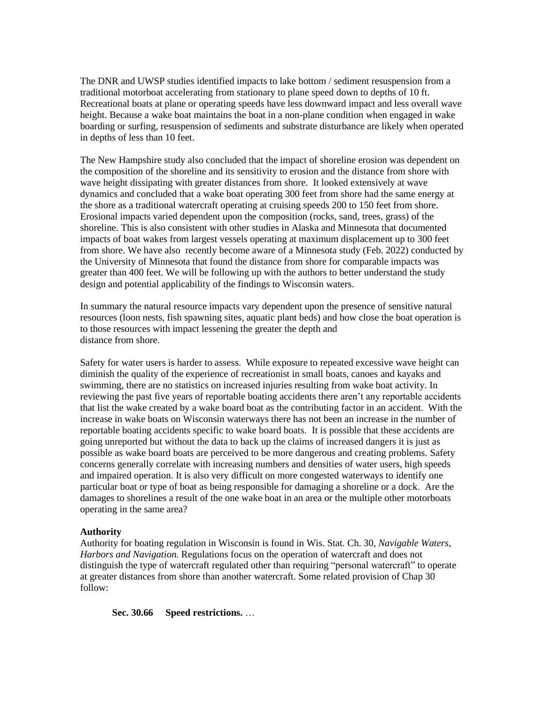The DNR and UWSP studies identified impacts to lake bottom / sediment resuspension from a traditional motorboat accelerating from stationary to plane speed down to depths of 10 ft. Recreational boats at plane or operating speeds have less downward impact and less overall wave height. Because a wake boat maintains the boat in a non-plane condition when engaged in wake boarding or surfing, resuspension of sediments and substrate disturbance are likely when operated in depths of less than 10 feet.

The New Hampshire study also concluded that the impact of shoreline erosion was dependent on the composition of the shoreline and its sensitivity to erosion and the distance from shore with wave height dissipating with greater distances from shore. It looked extensively at wave dynamics and concluded that a wake boat operating 300 feet from shore had the same energy at the shore as a traditional watercraft operating at cruising speeds 200 to 150 feet from shore. Erosional impacts varied dependent upon the composition (rocks, sand, trees, grass) of the shoreline. This is also consistent with other studies in Alaska and Minnesota that documented impacts of boat wakes from largest vessels operating at maximum displacement up to 300 feet from shore. We have also recently become aware of a Minnesota study (Feb. 2022) conducted by the University of Minnesota that found the distance from shore for comparable impacts was greater than 400 feet. We will be following up with the authors to better understand the study design and potential applicability of the findings to Wisconsin waters.

In summary the natural resource impacts vary dependent upon the presence of sensitive natural resources (loon nests, fish spawning sites, aquatic plant beds) and how close the boat operation is to those resources with impact lessening the greater the depth and distance from shore.

Safety for water users is harder to assess. While exposure to repeated excessive wave height can diminish the quality of the experience of recreationist in small boats, canoes and kayaks and swimming, there are no statistics on increased injuries resulting from wake boat activity. In reviewing the past five years of reportable boating accidents there aren't any reportable accidents that list the wake created by a wake board boat as the contributing factor in an accident. With the increase in wake boats on Wisconsin waterways there has not been an increase in the number of reportable boating accidents specific to wake board boats. It is possible that these accidents are going unreported but without the data to back up the claims of increased dangers it is just as possible as wake board boats are perceived to be more dangerous and creating problems. Safety concerns generally correlate with increasing numbers and densities of water users, high speeds and impaired operation. It is also very difficult on more congested waterways to identify one particular boat or type of boat as being responsible for damaging a shoreline or a dock. Are the damages to shorelines a result of the one wake boat in an area or the multiple other motorboats operating in the same area?

# **Authority**

Authority for boating regulation in Wisconsin is found in Wis. Stat. Ch. 30, *Navigable Waters, Harbors and Navigation*. Regulations focus on the operation of watercraft and does not distinguish the type of watercraft regulated other than requiring "personal watercraft" to operate at greater distances from shore than another watercraft. Some related provision of Chap 30 follow:

**Sec. 30.66 Speed restrictions.** …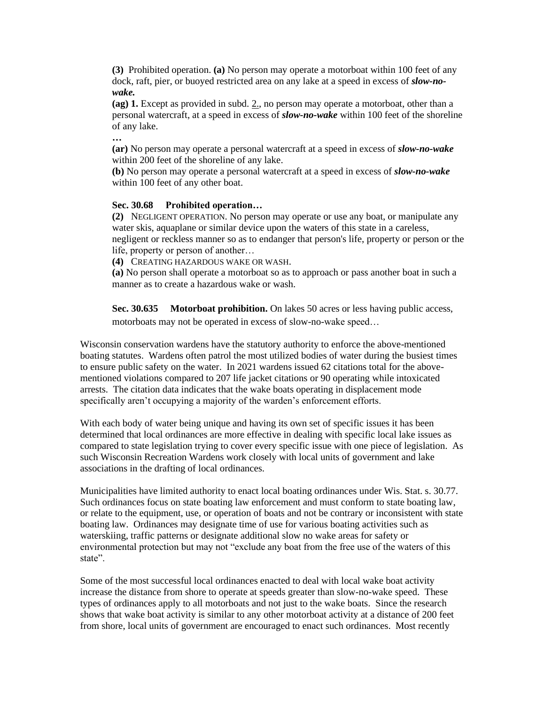**(3)** Prohibited operation. **(a)** No person may operate a motorboat within 100 feet of any dock, raft, pier, or buoyed restricted area on any lake at a speed in excess of *slow-nowake.*

**(ag) 1.** Except as provided in subd[. 2.,](http://docs.legis.wisconsin.gov/document/statutes/30.66(3)(ag)2.) no person may operate a motorboat, other than a personal watercraft, at a speed in excess of *slow-no-wake* within 100 feet of the shoreline of any lake.

**…**

**(ar)** No person may operate a personal watercraft at a speed in excess of *slow-no-wake* within 200 feet of the shoreline of any lake.

**(b)** No person may operate a personal watercraft at a speed in excess of *slow-no-wake* within 100 feet of any other boat.

# **Sec. 30.68 Prohibited operation…**

**(2)** NEGLIGENT OPERATION. No person may operate or use any boat, or manipulate any water skis, aquaplane or similar device upon the waters of this state in a careless, negligent or reckless manner so as to endanger that person's life, property or person or the life, property or person of another…

**(4)** CREATING HAZARDOUS WAKE OR WASH.

**(a)** No person shall operate a motorboat so as to approach or pass another boat in such a manner as to create a hazardous wake or wash.

**Sec. 30.635 Motorboat prohibition.** On lakes 50 acres or less having public access, motorboats may not be operated in excess of slow-no-wake speed…

Wisconsin conservation wardens have the statutory authority to enforce the above-mentioned boating statutes. Wardens often patrol the most utilized bodies of water during the busiest times to ensure public safety on the water. In 2021 wardens issued 62 citations total for the abovementioned violations compared to 207 life jacket citations or 90 operating while intoxicated arrests. The citation data indicates that the wake boats operating in displacement mode specifically aren't occupying a majority of the warden's enforcement efforts.

With each body of water being unique and having its own set of specific issues it has been determined that local ordinances are more effective in dealing with specific local lake issues as compared to state legislation trying to cover every specific issue with one piece of legislation. As such Wisconsin Recreation Wardens work closely with local units of government and lake associations in the drafting of local ordinances.

Municipalities have limited authority to enact local boating ordinances under Wis. Stat. s. 30.77. Such ordinances focus on state boating law enforcement and must conform to state boating law, or relate to the equipment, use, or operation of boats and not be contrary or inconsistent with state boating law. Ordinances may designate time of use for various boating activities such as waterskiing, traffic patterns or designate additional slow no wake areas for safety or environmental protection but may not "exclude any boat from the free use of the waters of this state".

Some of the most successful local ordinances enacted to deal with local wake boat activity increase the distance from shore to operate at speeds greater than slow-no-wake speed. These types of ordinances apply to all motorboats and not just to the wake boats. Since the research shows that wake boat activity is similar to any other motorboat activity at a distance of 200 feet from shore, local units of government are encouraged to enact such ordinances. Most recently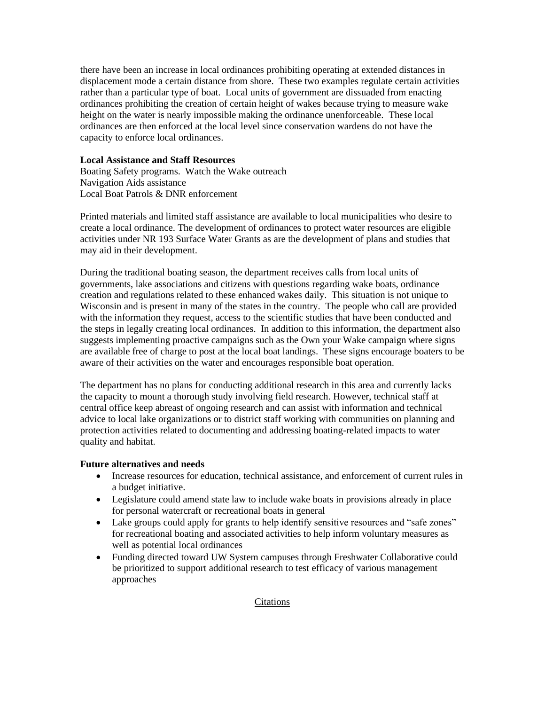there have been an increase in local ordinances prohibiting operating at extended distances in displacement mode a certain distance from shore. These two examples regulate certain activities rather than a particular type of boat. Local units of government are dissuaded from enacting ordinances prohibiting the creation of certain height of wakes because trying to measure wake height on the water is nearly impossible making the ordinance unenforceable. These local ordinances are then enforced at the local level since conservation wardens do not have the capacity to enforce local ordinances.

# **Local Assistance and Staff Resources**

Boating Safety programs. Watch the Wake outreach Navigation Aids assistance Local Boat Patrols & DNR enforcement

Printed materials and limited staff assistance are available to local municipalities who desire to create a local ordinance. The development of ordinances to protect water resources are eligible activities under NR 193 Surface Water Grants as are the development of plans and studies that may aid in their development.

During the traditional boating season, the department receives calls from local units of governments, lake associations and citizens with questions regarding wake boats, ordinance creation and regulations related to these enhanced wakes daily. This situation is not unique to Wisconsin and is present in many of the states in the country. The people who call are provided with the information they request, access to the scientific studies that have been conducted and the steps in legally creating local ordinances. In addition to this information, the department also suggests implementing proactive campaigns such as the Own your Wake campaign where signs are available free of charge to post at the local boat landings. These signs encourage boaters to be aware of their activities on the water and encourages responsible boat operation.

The department has no plans for conducting additional research in this area and currently lacks the capacity to mount a thorough study involving field research. However, technical staff at central office keep abreast of ongoing research and can assist with information and technical advice to local lake organizations or to district staff working with communities on planning and protection activities related to documenting and addressing boating-related impacts to water quality and habitat.

# **Future alternatives and needs**

- Increase resources for education, technical assistance, and enforcement of current rules in a budget initiative.
- Legislature could amend state law to include wake boats in provisions already in place for personal watercraft or recreational boats in general
- Lake groups could apply for grants to help identify sensitive resources and "safe zones" for recreational boating and associated activities to help inform voluntary measures as well as potential local ordinances
- Funding directed toward UW System campuses through Freshwater Collaborative could be prioritized to support additional research to test efficacy of various management approaches

# **Citations**